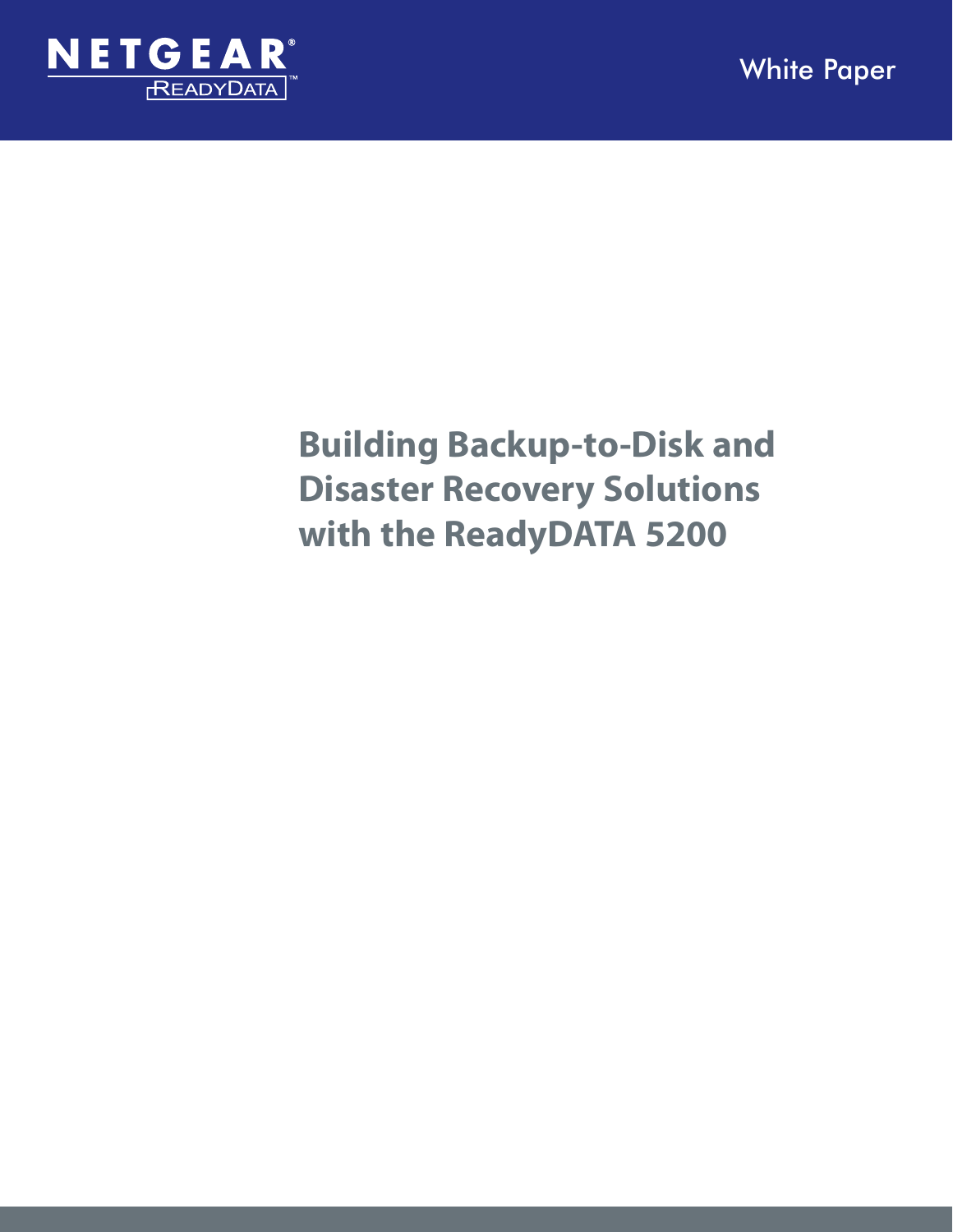

# **Building Backup-to-Disk and Disaster Recovery Solutions with the ReadyDATA 5200**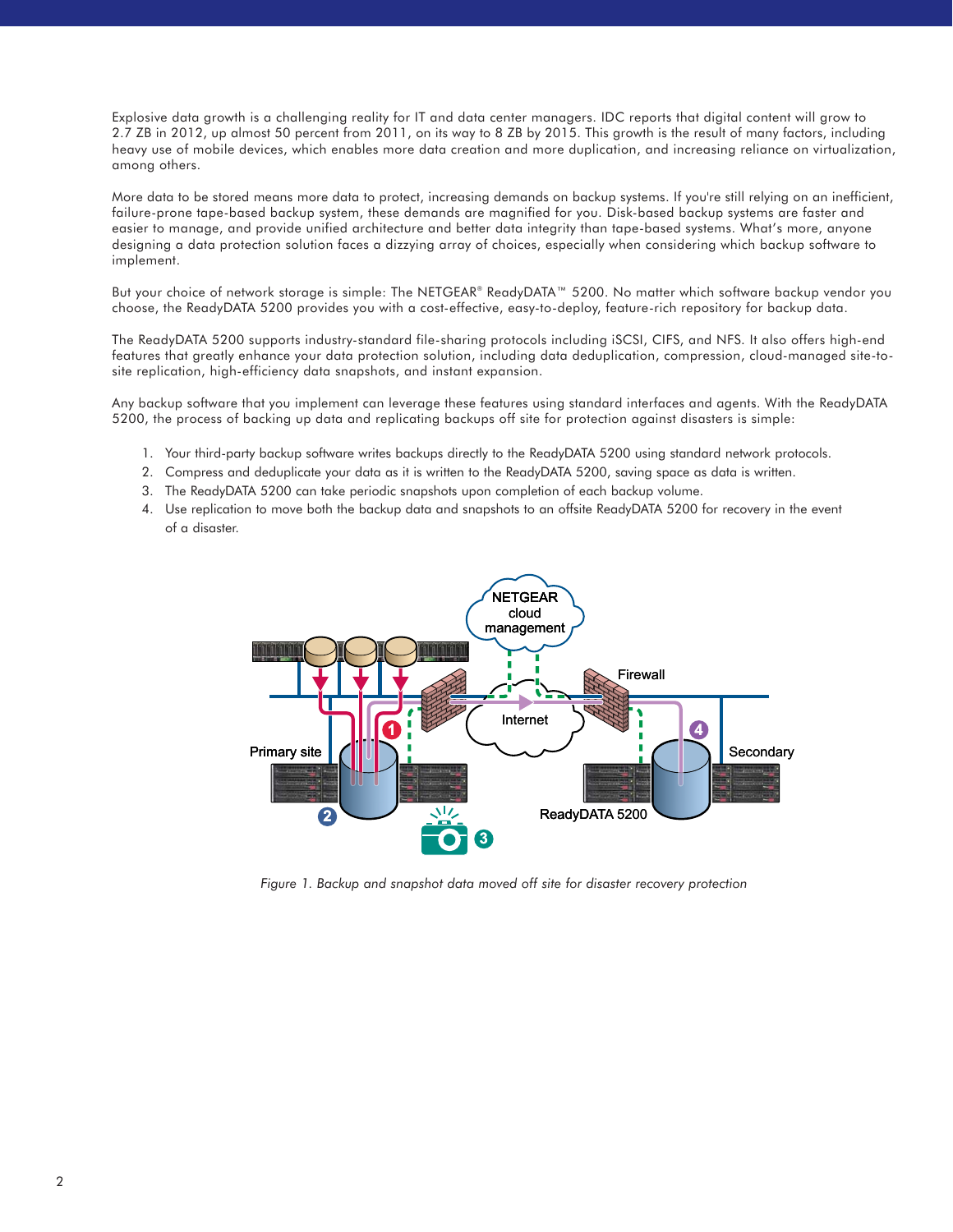Explosive data growth is a challenging reality for IT and data center managers. IDC reports that digital content will grow to 2.7 ZB in 2012, up almost 50 percent from 2011, on its way to 8 ZB by 2015. This growth is the result of many factors, including heavy use of mobile devices, which enables more data creation and more duplication, and increasing reliance on virtualization, among others.

More data to be stored means more data to protect, increasing demands on backup systems. If you're still relying on an inefficient, failure-prone tape-based backup system, these demands are magnified for you. Disk-based backup systems are faster and easier to manage, and provide unified architecture and better data integrity than tape-based systems. What's more, anyone designing a data protection solution faces a dizzying array of choices, especially when considering which backup software to implement.

But your choice of network storage is simple: The NETGEAR® ReadyDATA™ 5200. No matter which software backup vendor you choose, the ReadyDATA 5200 provides you with a cost-effective, easy-to-deploy, feature-rich repository for backup data.

The ReadyDATA 5200 supports industry-standard file-sharing protocols including iSCSI, CIFS, and NFS. It also offers high-end features that greatly enhance your data protection solution, including data deduplication, compression, cloud-managed site-tosite replication, high-efficiency data snapshots, and instant expansion.

Any backup software that you implement can leverage these features using standard interfaces and agents. With the ReadyDATA 5200, the process of backing up data and replicating backups off site for protection against disasters is simple:

- 1. Your third-party backup software writes backups directly to the ReadyDATA 5200 using standard network protocols.
- 2. Compress and deduplicate your data as it is written to the ReadyDATA 5200, saving space as data is written.
- 3. The ReadyDATA 5200 can take periodic snapshots upon completion of each backup volume.
- 4. Use replication to move both the backup data and snapshots to an offsite ReadyDATA 5200 for recovery in the event of a disaster.



*Figure 1. Backup and snapshot data moved off site for disaster recovery protection*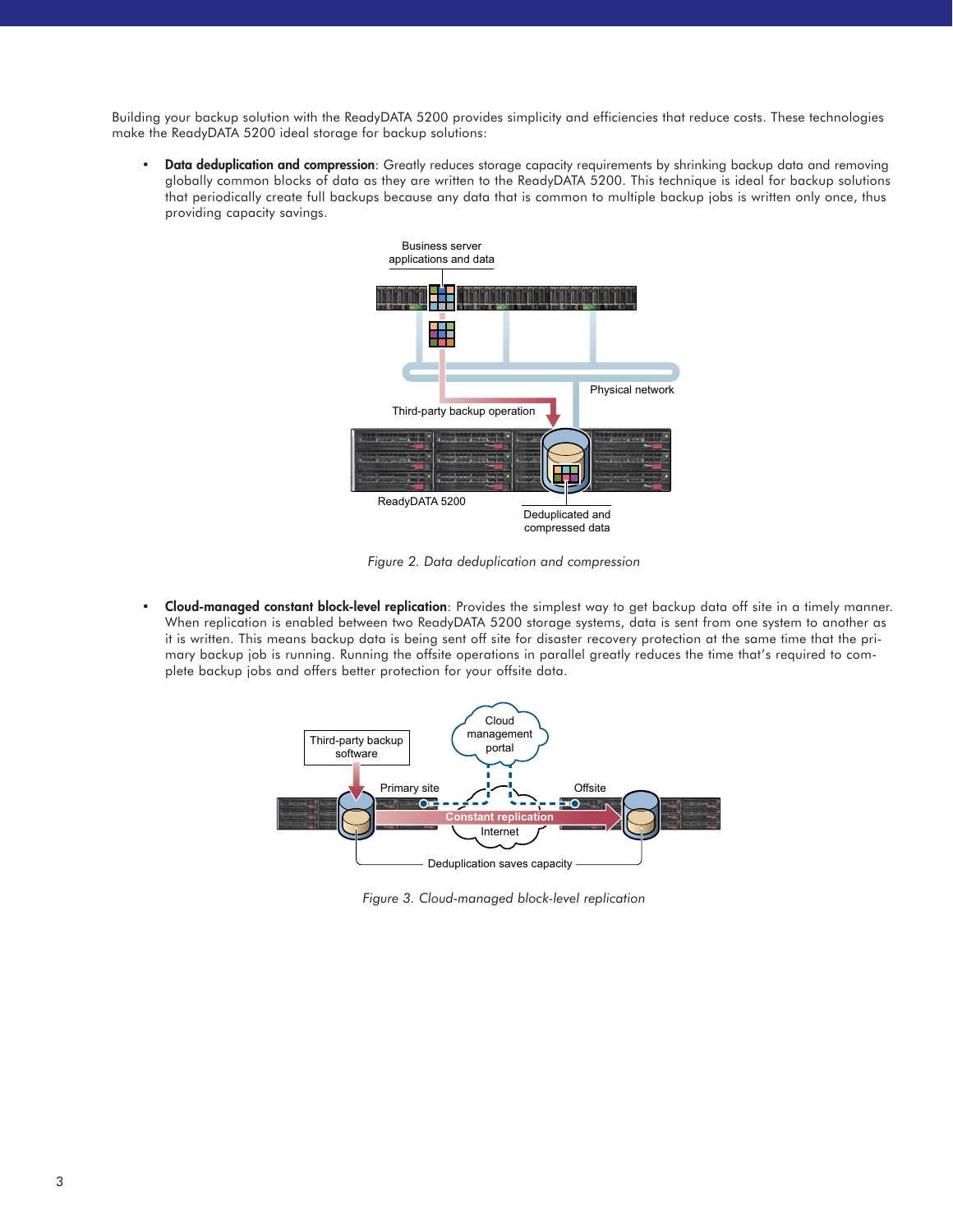Building your backup solution with the ReadyDATA 5200 provides simplicity and efficiencies that reduce costs. These technologies make the ReadyDATA 5200 ideal storage for backup solutions:

• **Data deduplication and compression**: Greatly reduces storage capacity requirements by shrinking backup data and removing globally common blocks of data as they are written to the ReadyDATA 5200. This technique is ideal for backup solutions that periodically create full backups because any data that is common to multiple backup jobs is written only once, thus providing capacity savings.



*Figure 2. Data deduplication and compression*

• **Cloud-managed constant block-level replication**: Provides the simplest way to get backup data off site in a timely manner. When replication is enabled between two ReadyDATA 5200 storage systems, data is sent from one system to another as it is written. This means backup data is being sent off site for disaster recovery protection at the same time that the primary backup job is running. Running the offsite operations in parallel greatly reduces the time that's required to complete backup jobs and offers better protection for your offsite data.



*Figure 3. Cloud-managed block-level replication*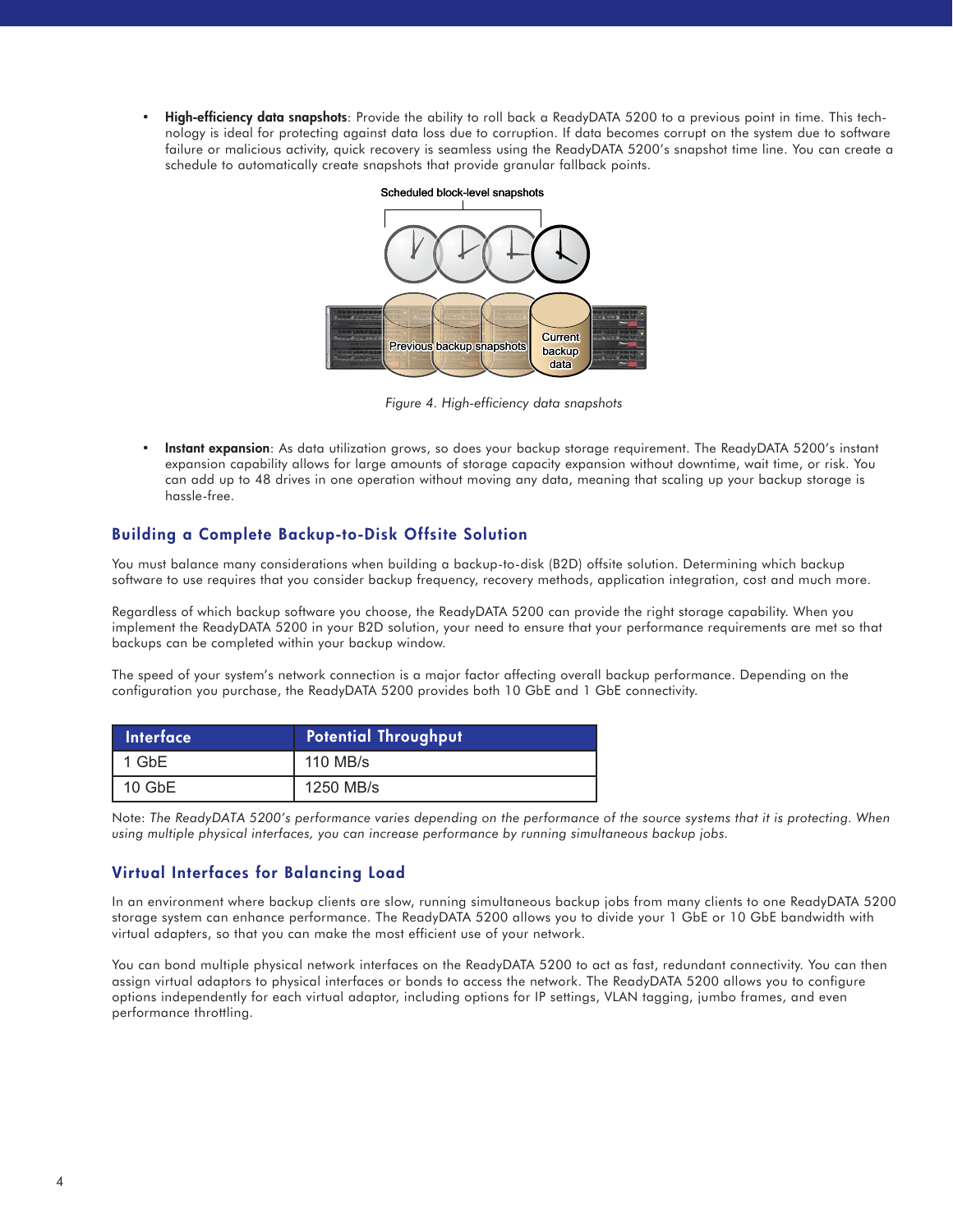• **High-efficiency data snapshots**: Provide the ability to roll back a ReadyDATA 5200 to a previous point in time. This technology is ideal for protecting against data loss due to corruption. If data becomes corrupt on the system due to software failure or malicious activity, quick recovery is seamless using the ReadyDATA 5200's snapshot time line. You can create a schedule to automatically create snapshots that provide granular fallback points.



*Figure 4. High-efficiency data snapshots* 

• **Instant expansion**: As data utilization grows, so does your backup storage requirement. The ReadyDATA 5200's instant expansion capability allows for large amounts of storage capacity expansion without downtime, wait time, or risk. You can add up to 48 drives in one operation without moving any data, meaning that scaling up your backup storage is hassle-free.

## **Building a Complete Backup-to-Disk Offsite Solution**

You must balance many considerations when building a backup-to-disk (B2D) offsite solution. Determining which backup software to use requires that you consider backup frequency, recovery methods, application integration, cost and much more.

Regardless of which backup software you choose, the ReadyDATA 5200 can provide the right storage capability. When you implement the ReadyDATA 5200 in your B2D solution, your need to ensure that your performance requirements are met so that backups can be completed within your backup window.

The speed of your system's network connection is a major factor affecting overall backup performance. Depending on the configuration you purchase, the ReadyDATA 5200 provides both 10 GbE and 1 GbE connectivity.

| <b>Interface</b> | <b>Potential Throughput</b> |
|------------------|-----------------------------|
| 1 GbE            | 110 MB/s                    |
| $10$ GbE         | 1250 MB/s                   |

Note: *The ReadyDATA 5200's performance varies depending on the performance of the source systems that it is protecting. When using multiple physical interfaces, you can increase performance by running simultaneous backup jobs.*

## **Virtual Interfaces for Balancing Load**

In an environment where backup clients are slow, running simultaneous backup jobs from many clients to one ReadyDATA 5200 storage system can enhance performance. The ReadyDATA 5200 allows you to divide your 1 GbE or 10 GbE bandwidth with virtual adapters, so that you can make the most efficient use of your network.

You can bond multiple physical network interfaces on the ReadyDATA 5200 to act as fast, redundant connectivity. You can then assign virtual adaptors to physical interfaces or bonds to access the network. The ReadyDATA 5200 allows you to configure options independently for each virtual adaptor, including options for IP settings, VLAN tagging, jumbo frames, and even performance throttling.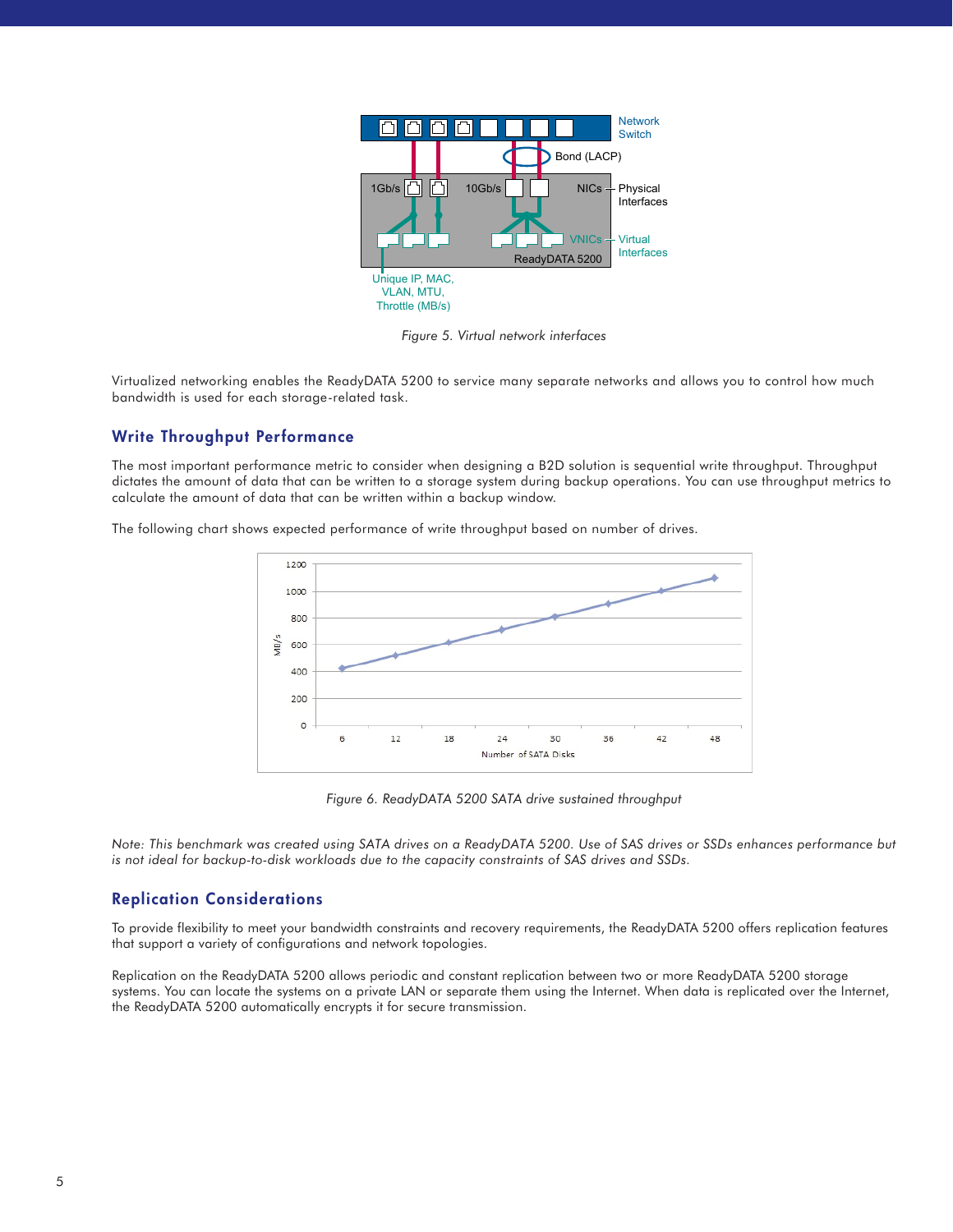

*Figure 5. Virtual network interfaces* 

Virtualized networking enables the ReadyDATA 5200 to service many separate networks and allows you to control how much bandwidth is used for each storage-related task.

### **Write Throughput Performance**

The most important performance metric to consider when designing a B2D solution is sequential write throughput. Throughput dictates the amount of data that can be written to a storage system during backup operations. You can use throughput metrics to calculate the amount of data that can be written within a backup window.

The following chart shows expected performance of write throughput based on number of drives.



*Figure 6. ReadyDATA 5200 SATA drive sustained throughput*

*Note: This benchmark was created using SATA drives on a ReadyDATA 5200. Use of SAS drives or SSDs enhances performance but is not ideal for backup-to-disk workloads due to the capacity constraints of SAS drives and SSDs.*

### **Replication Considerations**

To provide flexibility to meet your bandwidth constraints and recovery requirements, the ReadyDATA 5200 offers replication features that support a variety of configurations and network topologies.

Replication on the ReadyDATA 5200 allows periodic and constant replication between two or more ReadyDATA 5200 storage systems. You can locate the systems on a private LAN or separate them using the Internet. When data is replicated over the Internet, the ReadyDATA 5200 automatically encrypts it for secure transmission.